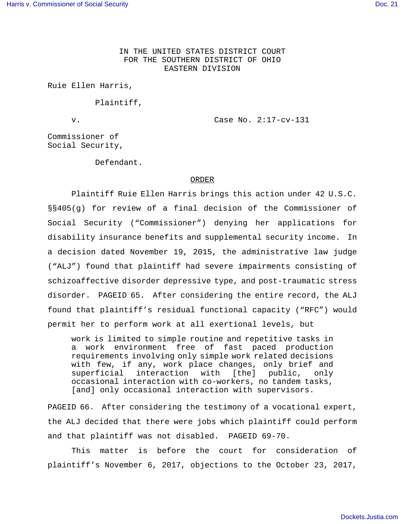IN THE UNITED STATES DISTRICT COURT FOR THE SOUTHERN DISTRICT OF OHIO EASTERN DIVISION

Ruie Ellen Harris,

Plaintiff,

v. Case No. 2:17-cv-131

Commissioner of Social Security,

Defendant.

## ORDER

Plaintiff Ruie Ellen Harris brings this action under 42 U.S.C. §§405(g) for review of a final decision of the Commissioner of Social Security ("Commissioner") denying her applications for disability insurance benefits and supplemental security income. In a decision dated November 19, 2015, the administrative law judge ("ALJ") found that plaintiff had severe impairments consisting of schizoaffective disorder depressive type, and post-traumatic stress disorder. PAGEID 65. After considering the entire record, the ALJ found that plaintiff's residual functional capacity ("RFC") would permit her to perform work at all exertional levels, but

work is limited to simple routine and repetitive tasks in a work environment free of fast paced production requirements involving only simple work related decisions with few, if any, work place changes, only brief and superficial interaction with [the] public, only occasional interaction with co-workers, no tandem tasks, [and] only occasional interaction with supervisors.

PAGEID 66. After considering the testimony of a vocational expert, the ALJ decided that there were jobs which plaintiff could perform and that plaintiff was not disabled. PAGEID 69-70.

This matter is before the court for consideration of plaintiff's November 6, 2017, objections to the October 23, 2017,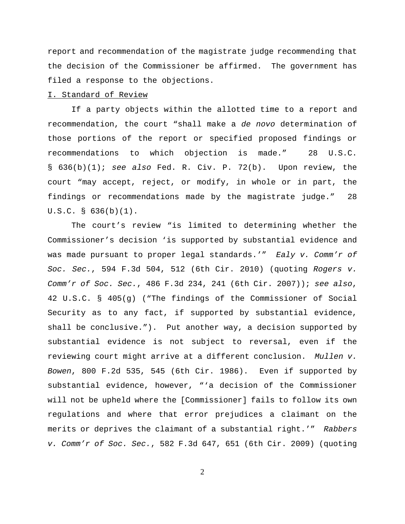report and recommendation of the magistrate judge recommending that the decision of the Commissioner be affirmed. The government has filed a response to the objections.

## I. Standard of Review

If a party objects within the allotted time to a report and recommendation, the court "shall make a de novo determination of those portions of the report or specified proposed findings or recommendations to which objection is made." 28 U.S.C. §  $636(b)(1)$ ; see also Fed. R. Civ. P. 72(b). Upon review, the court "may accept, reject, or modify, in whole or in part, the findings or recommendations made by the magistrate judge." 28 U.S.C. § 636(b)(1).

The court's review "is limited to determining whether the Commissioner's decision 'is supported by substantial evidence and was made pursuant to proper legal standards.'" Ealy v. Comm'r of Soc. Sec., 594 F.3d 504, 512 (6th Cir. 2010) (quoting Rogers  $v$ . Comm'r of Soc. Sec., 486 F.3d 234, 241 (6th Cir. 2007)); see also, 42 U.S.C. § 405(g) ("The findings of the Commissioner of Social Security as to any fact, if supported by substantial evidence, shall be conclusive."). Put another way, a decision supported by substantial evidence is not subject to reversal, even if the reviewing court might arrive at a different conclusion. Mullen v. Bowen, 800 F.2d 535, 545 (6th Cir. 1986). Even if supported by substantial evidence, however, "'a decision of the Commissioner will not be upheld where the [Commissioner] fails to follow its own regulations and where that error prejudices a claimant on the merits or deprives the claimant of a substantial right.'" Rabbers v. Comm'r of Soc. Sec., 582 F.3d 647, 651 (6th Cir. 2009) (quoting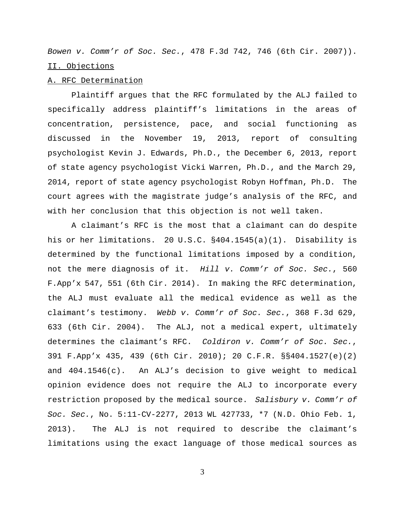Bowen v. Comm'r of Soc. Sec., 478 F.3d 742, 746 (6th Cir. 2007)). II. Objections

## A. RFC Determination

Plaintiff argues that the RFC formulated by the ALJ failed to specifically address plaintiff's limitations in the areas of concentration, persistence, pace, and social functioning as discussed in the November 19, 2013, report of consulting psychologist Kevin J. Edwards, Ph.D., the December 6, 2013, report of state agency psychologist Vicki Warren, Ph.D., and the March 29, 2014, report of state agency psychologist Robyn Hoffman, Ph.D. The court agrees with the magistrate judge's analysis of the RFC, and with her conclusion that this objection is not well taken.

A claimant's RFC is the most that a claimant can do despite his or her limitations. 20 U.S.C. §404.1545(a)(1). Disability is determined by the functional limitations imposed by a condition, not the mere diagnosis of it. Hill v. Comm'r of Soc. Sec., 560 F.App'x 547, 551 (6th Cir. 2014). In making the RFC determination, the ALJ must evaluate all the medical evidence as well as the claimant's testimony. Webb v. Comm'r of Soc. Sec., 368 F.3d 629, 633 (6th Cir. 2004). The ALJ, not a medical expert, ultimately determines the claimant's RFC. Coldiron v. Comm'r of Soc. Sec., 391 F.App'x 435, 439 (6th Cir. 2010); 20 C.F.R. §§404.1527(e)(2) and 404.1546(c). An ALJ's decision to give weight to medical opinion evidence does not require the ALJ to incorporate every restriction proposed by the medical source. Salisbury v. Comm'r of Soc. Sec., No. 5:11-CV-2277, 2013 WL 427733, \*7 (N.D. Ohio Feb. 1, 2013). The ALJ is not required to describe the claimant's limitations using the exact language of those medical sources as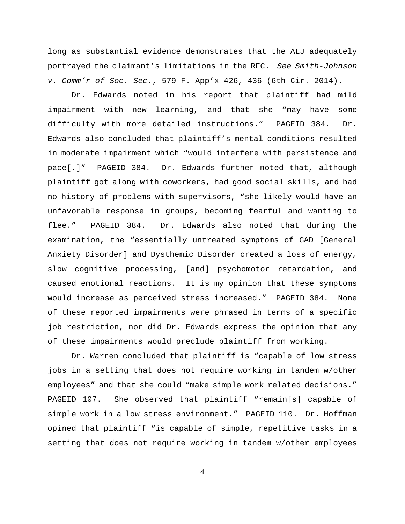long as substantial evidence demonstrates that the ALJ adequately portrayed the claimant's limitations in the RFC. See Smith-Johnson v. Comm'r of Soc. Sec., 579 F. App'x 426, 436 (6th Cir. 2014).

Dr. Edwards noted in his report that plaintiff had mild impairment with new learning, and that she "may have some difficulty with more detailed instructions." PAGEID 384. Dr. Edwards also concluded that plaintiff's mental conditions resulted in moderate impairment which "would interfere with persistence and pace[.]" PAGEID 384. Dr. Edwards further noted that, although plaintiff got along with coworkers, had good social skills, and had no history of problems with supervisors, "she likely would have an unfavorable response in groups, becoming fearful and wanting to flee." PAGEID 384. Dr. Edwards also noted that during the examination, the "essentially untreated symptoms of GAD [General Anxiety Disorder] and Dysthemic Disorder created a loss of energy, slow cognitive processing, [and] psychomotor retardation, and caused emotional reactions. It is my opinion that these symptoms would increase as perceived stress increased." PAGEID 384. None of these reported impairments were phrased in terms of a specific job restriction, nor did Dr. Edwards express the opinion that any of these impairments would preclude plaintiff from working.

Dr. Warren concluded that plaintiff is "capable of low stress jobs in a setting that does not require working in tandem w/other employees" and that she could "make simple work related decisions." PAGEID 107. She observed that plaintiff "remain[s] capable of simple work in a low stress environment." PAGEID 110. Dr. Hoffman opined that plaintiff "is capable of simple, repetitive tasks in a setting that does not require working in tandem w/other employees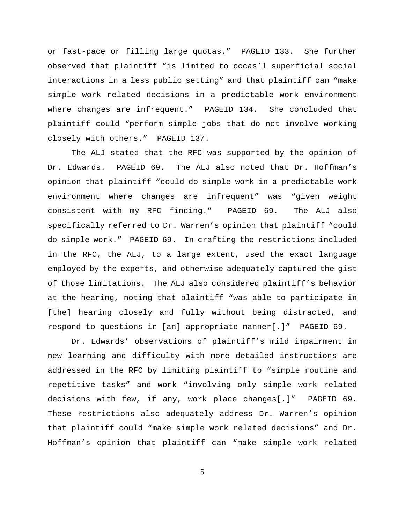or fast-pace or filling large quotas." PAGEID 133. She further observed that plaintiff "is limited to occas'l superficial social interactions in a less public setting" and that plaintiff can "make simple work related decisions in a predictable work environment where changes are infrequent." PAGEID 134. She concluded that plaintiff could "perform simple jobs that do not involve working closely with others." PAGEID 137.

The ALJ stated that the RFC was supported by the opinion of Dr. Edwards. PAGEID 69. The ALJ also noted that Dr. Hoffman's opinion that plaintiff "could do simple work in a predictable work environment where changes are infrequent" was "given weight consistent with my RFC finding." PAGEID 69. The ALJ also specifically referred to Dr. Warren's opinion that plaintiff "could do simple work." PAGEID 69. In crafting the restrictions included in the RFC, the ALJ, to a large extent, used the exact language employed by the experts, and otherwise adequately captured the gist of those limitations. The ALJ also considered plaintiff's behavior at the hearing, noting that plaintiff "was able to participate in [the] hearing closely and fully without being distracted, and respond to questions in [an] appropriate manner[.]" PAGEID 69.

Dr. Edwards' observations of plaintiff's mild impairment in new learning and difficulty with more detailed instructions are addressed in the RFC by limiting plaintiff to "simple routine and repetitive tasks" and work "involving only simple work related decisions with few, if any, work place changes[.]" PAGEID 69. These restrictions also adequately address Dr. Warren's opinion that plaintiff could "make simple work related decisions" and Dr. Hoffman's opinion that plaintiff can "make simple work related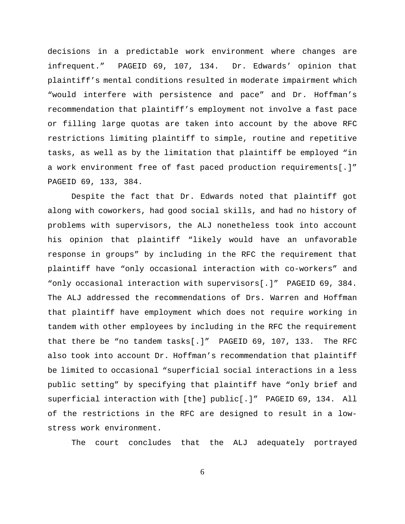decisions in a predictable work environment where changes are infrequent." PAGEID 69, 107, 134. Dr. Edwards' opinion that plaintiff's mental conditions resulted in moderate impairment which "would interfere with persistence and pace" and Dr. Hoffman's recommendation that plaintiff's employment not involve a fast pace or filling large quotas are taken into account by the above RFC restrictions limiting plaintiff to simple, routine and repetitive tasks, as well as by the limitation that plaintiff be employed "in a work environment free of fast paced production requirements[.]" PAGEID 69, 133, 384.

Despite the fact that Dr. Edwards noted that plaintiff got along with coworkers, had good social skills, and had no history of problems with supervisors, the ALJ nonetheless took into account his opinion that plaintiff "likely would have an unfavorable response in groups" by including in the RFC the requirement that plaintiff have "only occasional interaction with co-workers" and "only occasional interaction with supervisors[.]" PAGEID 69, 384. The ALJ addressed the recommendations of Drs. Warren and Hoffman that plaintiff have employment which does not require working in tandem with other employees by including in the RFC the requirement that there be "no tandem tasks[.]" PAGEID 69, 107, 133. The RFC also took into account Dr. Hoffman's recommendation that plaintiff be limited to occasional "superficial social interactions in a less public setting" by specifying that plaintiff have "only brief and superficial interaction with [the] public[.]" PAGEID 69, 134. All of the restrictions in the RFC are designed to result in a lowstress work environment.

The court concludes that the ALJ adequately portrayed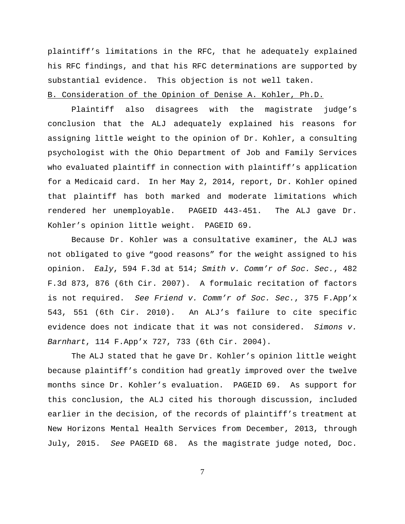plaintiff's limitations in the RFC, that he adequately explained his RFC findings, and that his RFC determinations are supported by substantial evidence. This objection is not well taken.

## B. Consideration of the Opinion of Denise A. Kohler, Ph.D.

Plaintiff also disagrees with the magistrate judge's conclusion that the ALJ adequately explained his reasons for assigning little weight to the opinion of Dr. Kohler, a consulting psychologist with the Ohio Department of Job and Family Services who evaluated plaintiff in connection with plaintiff's application for a Medicaid card. In her May 2, 2014, report, Dr. Kohler opined that plaintiff has both marked and moderate limitations which rendered her unemployable. PAGEID 443-451. The ALJ gave Dr. Kohler's opinion little weight. PAGEID 69.

Because Dr. Kohler was a consultative examiner, the ALJ was not obligated to give "good reasons" for the weight assigned to his opinion. Ealy, 594 F.3d at 514; Smith v. Comm'r of Soc. Sec., 482 F.3d 873, 876 (6th Cir. 2007). A formulaic recitation of factors is not required. See Friend v. Comm'r of Soc. Sec., 375 F.App'x 543, 551 (6th Cir. 2010). An ALJ's failure to cite specific evidence does not indicate that it was not considered. Simons v. Barnhart, 114 F.App'x 727, 733 (6th Cir. 2004).

The ALJ stated that he gave Dr. Kohler's opinion little weight because plaintiff's condition had greatly improved over the twelve months since Dr. Kohler's evaluation. PAGEID 69. As support for this conclusion, the ALJ cited his thorough discussion, included earlier in the decision, of the records of plaintiff's treatment at New Horizons Mental Health Services from December, 2013, through July, 2015. See PAGEID 68. As the magistrate judge noted, Doc.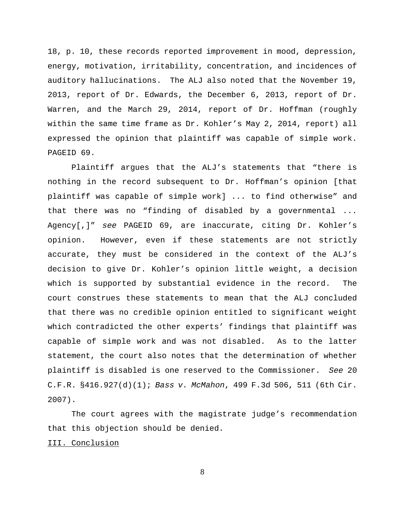18, p. 10, these records reported improvement in mood, depression, energy, motivation, irritability, concentration, and incidences of auditory hallucinations. The ALJ also noted that the November 19, 2013, report of Dr. Edwards, the December 6, 2013, report of Dr. Warren, and the March 29, 2014, report of Dr. Hoffman (roughly within the same time frame as Dr. Kohler's May 2, 2014, report) all expressed the opinion that plaintiff was capable of simple work. PAGEID 69.

Plaintiff argues that the ALJ's statements that "there is nothing in the record subsequent to Dr. Hoffman's opinion [that plaintiff was capable of simple work] ... to find otherwise" and that there was no "finding of disabled by a governmental ... Agency[,]" see PAGEID 69, are inaccurate, citing Dr. Kohler's opinion. However, even if these statements are not strictly accurate, they must be considered in the context of the ALJ's decision to give Dr. Kohler's opinion little weight, a decision which is supported by substantial evidence in the record. The court construes these statements to mean that the ALJ concluded that there was no credible opinion entitled to significant weight which contradicted the other experts' findings that plaintiff was capable of simple work and was not disabled. As to the latter statement, the court also notes that the determination of whether plaintiff is disabled is one reserved to the Commissioner. See 20 C.F.R. §416.927(d)(1); Bass v. McMahon, 499 F.3d 506, 511 (6th Cir. 2007).

The court agrees with the magistrate judge's recommendation that this objection should be denied.

III. Conclusion